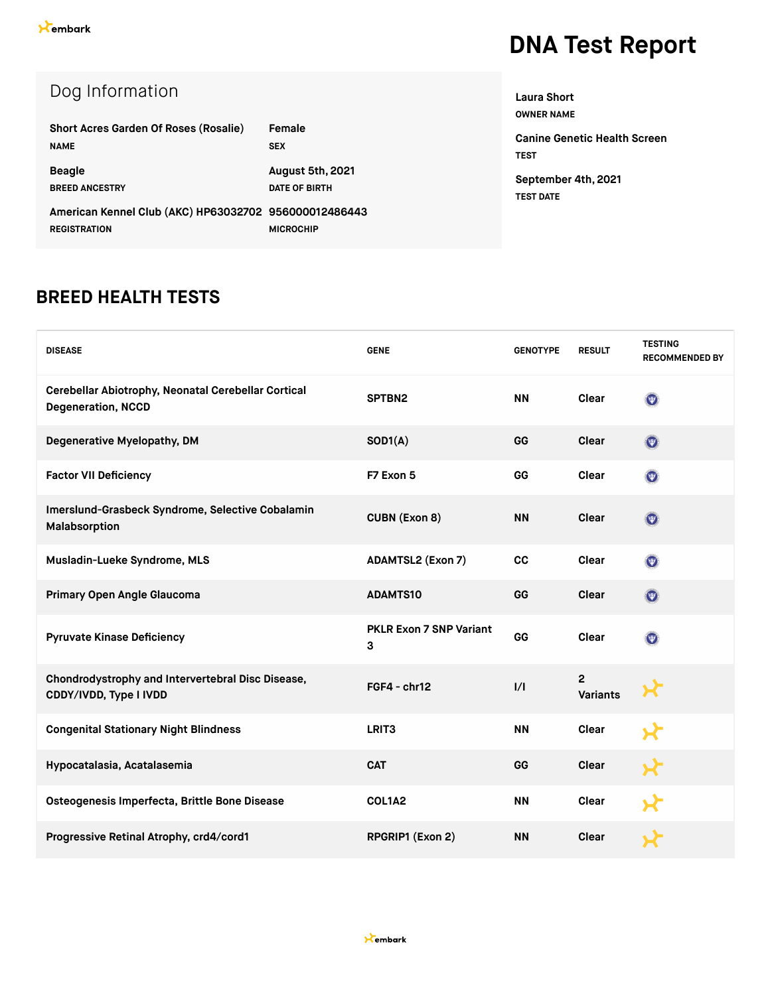| Dog Information                                       |                      |
|-------------------------------------------------------|----------------------|
| <b>Short Acres Garden Of Roses (Rosalie)</b>          | Female               |
| <b>NAME</b>                                           | <b>SEX</b>           |
| <b>Beagle</b>                                         | August 5th, 2021     |
| <b>BREED ANCESTRY</b>                                 | <b>DATE OF BIRTH</b> |
| American Kennel Club (AKC) HP63032702 956000012486443 |                      |
| <b>REGISTRATION</b>                                   | <b>MICROCHIP</b>     |

**OWNER NAME Canine Genetic Health Screen TEST September 4th, 2021 TEST DATE**

**Laura Short**

#### **BREED HEALTH TESTS**

| <b>DISEASE</b>                                                                   | <b>GENE</b>                         | <b>GENOTYPE</b> | <b>RESULT</b>                     | <b>TESTING</b><br><b>RECOMMENDED BY</b> |
|----------------------------------------------------------------------------------|-------------------------------------|-----------------|-----------------------------------|-----------------------------------------|
| Cerebellar Abiotrophy, Neonatal Cerebellar Cortical<br><b>Degeneration, NCCD</b> | SPTBN2                              | <b>NN</b>       | Clear                             | $\odot$                                 |
| Degenerative Myelopathy, DM                                                      | SOD1(A)                             | GG              | <b>Clear</b>                      | $\odot$                                 |
| <b>Factor VII Deficiency</b>                                                     | F7 Exon 5                           | GG              | Clear                             | $\odot$                                 |
| Imerslund-Grasbeck Syndrome, Selective Cobalamin<br>Malabsorption                | <b>CUBN (Exon 8)</b>                | <b>NN</b>       | <b>Clear</b>                      | $\boldsymbol{\Omega}$                   |
| Musladin-Lueke Syndrome, MLS                                                     | <b>ADAMTSL2 (Exon 7)</b>            | cc              | <b>Clear</b>                      | $\boldsymbol{\Omega}$                   |
| Primary Open Angle Glaucoma                                                      | <b>ADAMTS10</b>                     | GG              | <b>Clear</b>                      | $\odot$                                 |
| <b>Pyruvate Kinase Deficiency</b>                                                | <b>PKLR Exon 7 SNP Variant</b><br>3 | GG              | <b>Clear</b>                      | $\circledcirc$                          |
| Chondrodystrophy and Intervertebral Disc Disease,<br>CDDY/IVDD, Type I IVDD      | $FGF4 - chr12$                      | $\frac{1}{1}$   | $\overline{2}$<br><b>Variants</b> |                                         |
| <b>Congenital Stationary Night Blindness</b>                                     | LRIT <sub>3</sub>                   | <b>NN</b>       | <b>Clear</b>                      |                                         |
| Hypocatalasia, Acatalasemia                                                      | <b>CAT</b>                          | GG              | <b>Clear</b>                      |                                         |
| Osteogenesis Imperfecta, Brittle Bone Disease                                    | COL1A2                              | <b>NN</b>       | <b>Clear</b>                      |                                         |
| Progressive Retinal Atrophy, crd4/cord1                                          | RPGRIP1 (Exon 2)                    | <b>NN</b>       | <b>Clear</b>                      |                                         |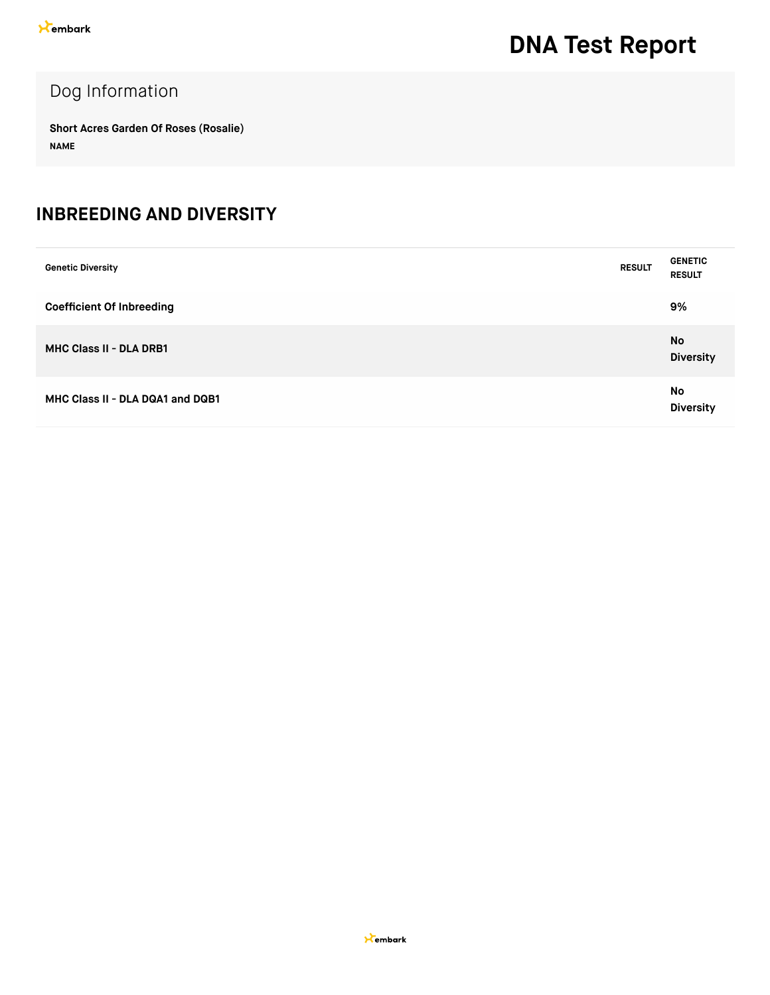### Dog Information

**Short Acres Garden Of Roses (Rosalie) NAME**

#### **INBREEDING AND DIVERSITY**

| <b>Genetic Diversity</b>         | <b>RESULT</b> | <b>GENETIC</b><br><b>RESULT</b> |
|----------------------------------|---------------|---------------------------------|
| <b>Coefficient Of Inbreeding</b> |               | 9%                              |
| <b>MHC Class II - DLA DRB1</b>   |               | No<br><b>Diversity</b>          |
| MHC Class II - DLA DQA1 and DQB1 |               | No<br><b>Diversity</b>          |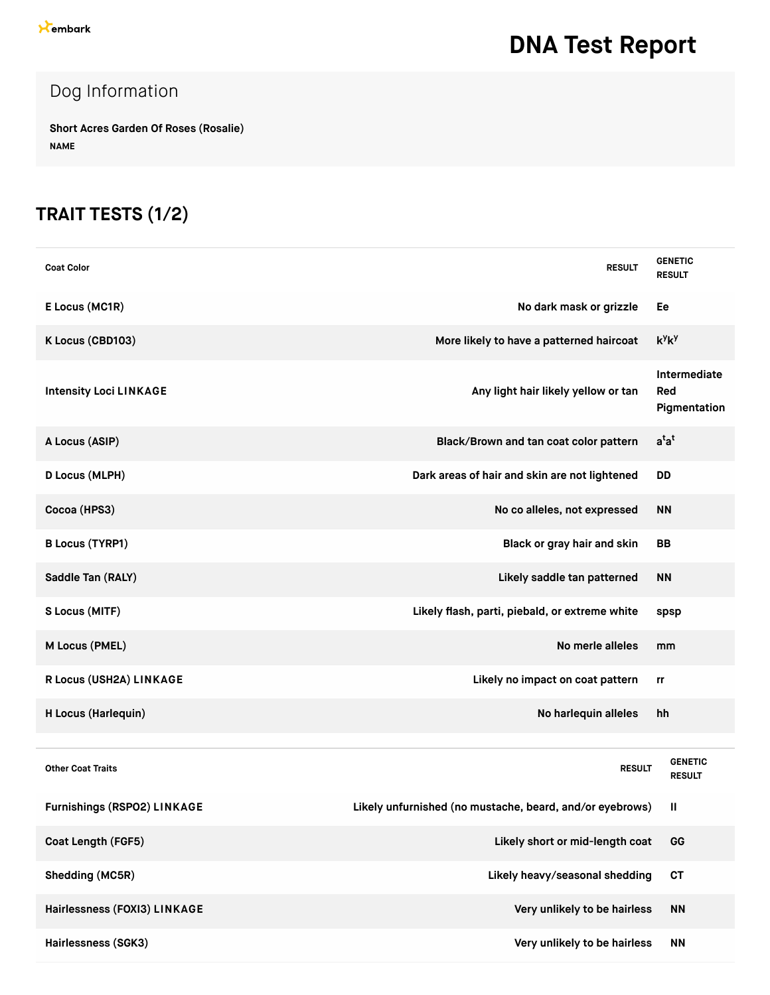### Dog Information

**Short Acres Garden Of Roses (Rosalie) NAME**

### **TRAIT TESTS (1/2)**

| <b>Coat Color</b>             | <b>RESULT</b>                                            | <b>GENETIC</b><br><b>RESULT</b>     |
|-------------------------------|----------------------------------------------------------|-------------------------------------|
| E Locus (MC1R)                | No dark mask or grizzle                                  | Ee                                  |
| K Locus (CBD103)              | More likely to have a patterned haircoat                 | $k^y k^y$                           |
| <b>Intensity Loci LINKAGE</b> | Any light hair likely yellow or tan                      | Intermediate<br>Red<br>Pigmentation |
| A Locus (ASIP)                | Black/Brown and tan coat color pattern                   | $a^{t}a^{t}$                        |
| D Locus (MLPH)                | Dark areas of hair and skin are not lightened            | <b>DD</b>                           |
| Cocoa (HPS3)                  | No co alleles, not expressed                             | <b>NN</b>                           |
| <b>B Locus (TYRP1)</b>        | Black or gray hair and skin                              | <b>BB</b>                           |
| Saddle Tan (RALY)             | Likely saddle tan patterned                              | <b>NN</b>                           |
| S Locus (MITF)                | Likely flash, parti, piebald, or extreme white           | spsp                                |
| M Locus (PMEL)                | No merle alleles                                         | mm                                  |
| R Locus (USH2A) LINKAGE       | Likely no impact on coat pattern                         | rr                                  |
| H Locus (Harlequin)           | No harlequin alleles                                     | hh                                  |
|                               |                                                          |                                     |
| <b>Other Coat Traits</b>      | <b>RESULT</b>                                            | <b>GENETIC</b><br><b>RESULT</b>     |
| Furnishings (RSPO2) LINKAGE   | Likely unfurnished (no mustache, beard, and/or eyebrows) | Ш                                   |
| Coat Length (FGF5)            | Likely short or mid-length coat                          | GG                                  |
| Shedding (MC5R)               | Likely heavy/seasonal shedding                           | <b>CT</b>                           |
| Hairlessness (FOXI3) LINKAGE  | Very unlikely to be hairless                             | <b>NN</b>                           |
| Hairlessness (SGK3)           | Very unlikely to be hairless                             | <b>NN</b>                           |